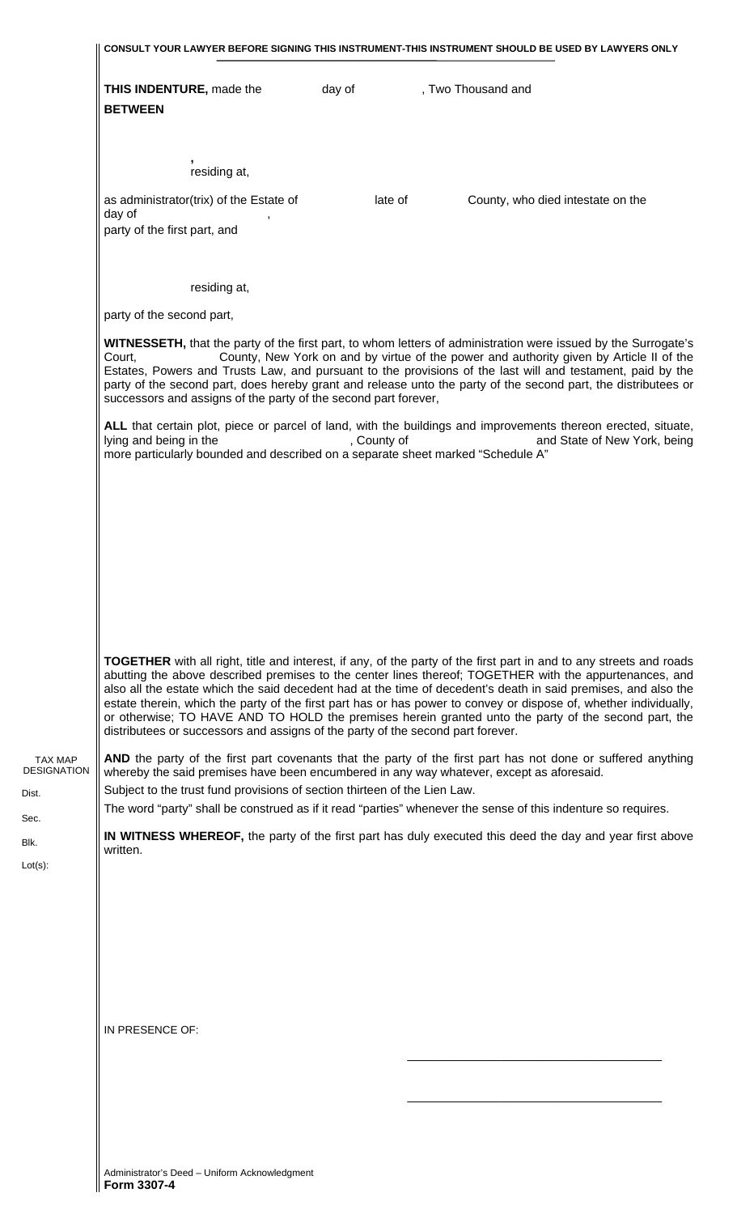|                                               | CONSULT YOUR LAWYER BEFORE SIGNING THIS INSTRUMENT-THIS INSTRUMENT SHOULD BE USED BY LAWYERS ONLY                                                                                                                                                                                                                                                                                                                                                                                                                                                                                                                                                                       |  |  |  |  |  |
|-----------------------------------------------|-------------------------------------------------------------------------------------------------------------------------------------------------------------------------------------------------------------------------------------------------------------------------------------------------------------------------------------------------------------------------------------------------------------------------------------------------------------------------------------------------------------------------------------------------------------------------------------------------------------------------------------------------------------------------|--|--|--|--|--|
|                                               | <b>THIS INDENTURE, made the</b><br>day of<br>, Two Thousand and<br><b>BETWEEN</b>                                                                                                                                                                                                                                                                                                                                                                                                                                                                                                                                                                                       |  |  |  |  |  |
|                                               | residing at,<br>as administrator(trix) of the Estate of<br>late of<br>County, who died intestate on the<br>day of<br>party of the first part, and                                                                                                                                                                                                                                                                                                                                                                                                                                                                                                                       |  |  |  |  |  |
|                                               | residing at,<br>party of the second part,<br>WITNESSETH, that the party of the first part, to whom letters of administration were issued by the Surrogate's<br>County, New York on and by virtue of the power and authority given by Article II of the<br>Court,                                                                                                                                                                                                                                                                                                                                                                                                        |  |  |  |  |  |
|                                               | Estates, Powers and Trusts Law, and pursuant to the provisions of the last will and testament, paid by the<br>party of the second part, does hereby grant and release unto the party of the second part, the distributees or<br>successors and assigns of the party of the second part forever,<br>ALL that certain plot, piece or parcel of land, with the buildings and improvements thereon erected, situate,<br>lying and being in the<br>, County of<br>and State of New York, being<br>more particularly bounded and described on a separate sheet marked "Schedule A"                                                                                            |  |  |  |  |  |
|                                               |                                                                                                                                                                                                                                                                                                                                                                                                                                                                                                                                                                                                                                                                         |  |  |  |  |  |
|                                               | <b>TOGETHER</b> with all right, title and interest, if any, of the party of the first part in and to any streets and roads<br>abutting the above described premises to the center lines thereof; TOGETHER with the appurtenances, and<br>also all the estate which the said decedent had at the time of decedent's death in said premises, and also the<br>estate therein, which the party of the first part has or has power to convey or dispose of, whether individually,<br>or otherwise; TO HAVE AND TO HOLD the premises herein granted unto the party of the second part, the<br>distributees or successors and assigns of the party of the second part forever. |  |  |  |  |  |
| <b>TAX MAP</b><br><b>DESIGNATION</b><br>Dist. | AND the party of the first part covenants that the party of the first part has not done or suffered anything<br>whereby the said premises have been encumbered in any way whatever, except as aforesaid.<br>Subject to the trust fund provisions of section thirteen of the Lien Law.<br>The word "party" shall be construed as if it read "parties" whenever the sense of this indenture so requires.                                                                                                                                                                                                                                                                  |  |  |  |  |  |
| Sec.<br>Blk.<br>$Lot(s)$ :                    | <b>IN WITNESS WHEREOF</b> , the party of the first part has duly executed this deed the day and year first above<br>written.                                                                                                                                                                                                                                                                                                                                                                                                                                                                                                                                            |  |  |  |  |  |
|                                               |                                                                                                                                                                                                                                                                                                                                                                                                                                                                                                                                                                                                                                                                         |  |  |  |  |  |
|                                               | IN PRESENCE OF:                                                                                                                                                                                                                                                                                                                                                                                                                                                                                                                                                                                                                                                         |  |  |  |  |  |
|                                               |                                                                                                                                                                                                                                                                                                                                                                                                                                                                                                                                                                                                                                                                         |  |  |  |  |  |